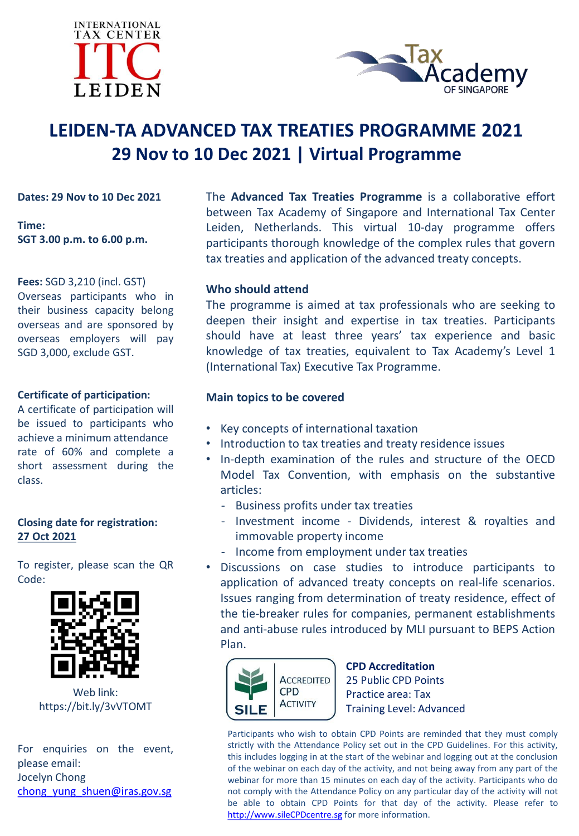



# **LEIDEN-TA ADVANCED TAX TREATIES PROGRAMME 2021 29 Nov to 10 Dec 2021 | Virtual Programme**

**Dates: 29 Nov to 10 Dec 2021**

**Time: SGT 3.00 p.m. to 6.00 p.m.**

**Fees:** SGD 3,210 (incl. GST) Overseas participants who in their business capacity belong overseas and are sponsored by overseas employers will pay SGD 3,000, exclude GST.

## **Certificate of participation:**

A certificate of participation will be issued to participants who achieve a minimum attendance rate of 60% and complete a short assessment during the class.

#### **Closing date for registration: 27 Oct 2021**

To register, please scan the QR Code:



Web link: https://bit.ly/3vVTOMT

For enquiries on the event, please email: Jocelyn Chong [chong\\_yung\\_shuen@iras.gov.sg](mailto:chong_yung_shuen@iras.gov.sg)

The **Advanced Tax Treaties Programme** is a collaborative effort between Tax Academy of Singapore and International Tax Center Leiden, Netherlands. This virtual 10-day programme offers participants thorough knowledge of the complex rules that govern tax treaties and application of the advanced treaty concepts.

## **Who should attend**

The programme is aimed at tax professionals who are seeking to deepen their insight and expertise in tax treaties. Participants should have at least three years' tax experience and basic knowledge of tax treaties, equivalent to Tax Academy's Level 1 (International Tax) Executive Tax Programme.

## **Main topics to be covered**

- Key concepts of international taxation
- Introduction to tax treaties and treaty residence issues
- In-depth examination of the rules and structure of the OECD Model Tax Convention, with emphasis on the substantive articles:
	- Business profits under tax treaties
	- Investment income Dividends, interest & royalties and immovable property income
	- Income from employment under tax treaties
- Discussions on case studies to introduce participants to application of advanced treaty concepts on real-life scenarios. Issues ranging from determination of treaty residence, effect of the tie-breaker rules for companies, permanent establishments and anti-abuse rules introduced by MLI pursuant to BEPS Action Plan.



**CPD Accreditation** 25 Public CPD Points Practice area: Tax Training Level: Advanced

Participants who wish to obtain CPD Points are reminded that they must comply strictly with the Attendance Policy set out in the CPD Guidelines. For this activity, this includes logging in at the start of the webinar and logging out at the conclusion of the webinar on each day of the activity, and not being away from any part of the webinar for more than 15 minutes on each day of the activity. Participants who do not comply with the Attendance Policy on any particular day of the activity will not be able to obtain CPD Points for that day of the activity. Please refer to [http://www.sileCPDcentre.sg](http://www.silecpdcentre.sg/) for more information.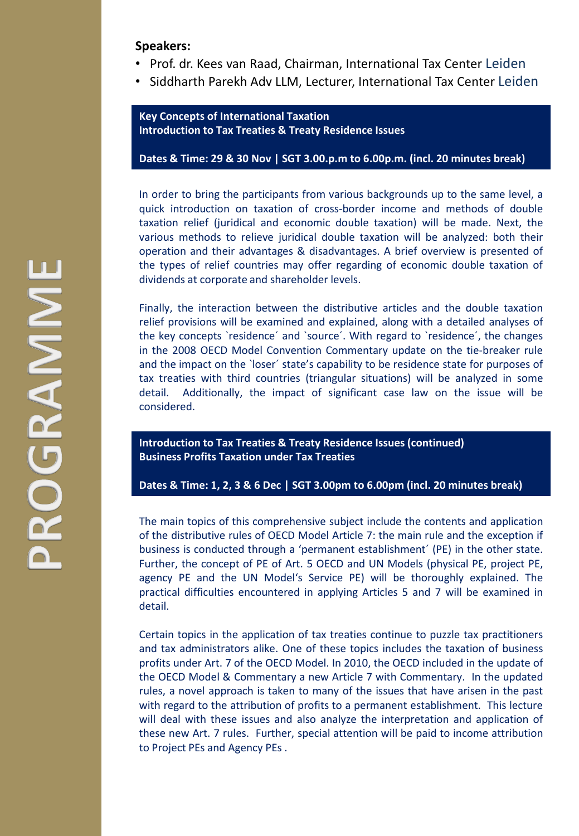#### **Speakers:**

- Prof. dr. Kees van Raad, Chairman, International Tax Center Leiden
- Siddharth Parekh Adv LLM, Lecturer, International Tax Center Leiden

**Key Concepts of International Taxation Introduction to Tax Treaties & Treaty Residence Issues**

**Dates & Time: 29 & 30 Nov | SGT 3.00.p.m to 6.00p.m. (incl. 20 minutes break)**

In order to bring the participants from various backgrounds up to the same level, a quick introduction on taxation of cross-border income and methods of double taxation relief (juridical and economic double taxation) will be made. Next, the various methods to relieve juridical double taxation will be analyzed: both their operation and their advantages & disadvantages. A brief overview is presented of the types of relief countries may offer regarding of economic double taxation of dividends at corporate and shareholder levels.

Finally, the interaction between the distributive articles and the double taxation relief provisions will be examined and explained, along with a detailed analyses of the key concepts `residence´ and `source´. With regard to `residence´, the changes in the 2008 OECD Model Convention Commentary update on the tie-breaker rule and the impact on the `loser´ state's capability to be residence state for purposes of tax treaties with third countries (triangular situations) will be analyzed in some detail. Additionally, the impact of significant case law on the issue will be considered.

**Introduction to Tax Treaties & Treaty Residence Issues (continued) Business Profits Taxation under Tax Treaties**

**Dates & Time: 1, 2, 3 & 6 Dec | SGT 3.00pm to 6.00pm (incl. 20 minutes break)**

The main topics of this comprehensive subject include the contents and application of the distributive rules of OECD Model Article 7: the main rule and the exception if business is conducted through a 'permanent establishment´ (PE) in the other state. Further, the concept of PE of Art. 5 OECD and UN Models (physical PE, project PE, agency PE and the UN Model's Service PE) will be thoroughly explained. The practical difficulties encountered in applying Articles 5 and 7 will be examined in detail.

Certain topics in the application of tax treaties continue to puzzle tax practitioners and tax administrators alike. One of these topics includes the taxation of business profits under Art. 7 of the OECD Model. In 2010, the OECD included in the update of the OECD Model & Commentary a new Article 7 with Commentary. In the updated rules, a novel approach is taken to many of the issues that have arisen in the past with regard to the attribution of profits to a permanent establishment. This lecture will deal with these issues and also analyze the interpretation and application of these new Art. 7 rules. Further, special attention will be paid to income attribution to Project PEs and Agency PEs .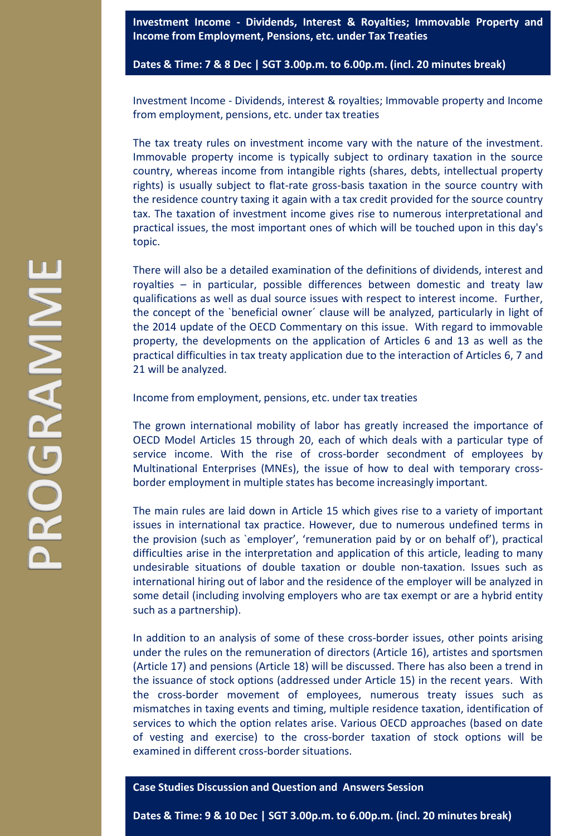**Investment Income - Dividends, Interest & Royalties; Immovable Property and Income from Employment, Pensions, etc. under Tax Treaties**

**Dates & Time: 7 & 8 Dec | SGT 3.00p.m. to 6.00p.m. (incl. 20 minutes break)**

Investment Income - Dividends, interest & royalties; Immovable property and Income from employment, pensions, etc. under tax treaties

The tax treaty rules on investment income vary with the nature of the investment. Immovable property income is typically subject to ordinary taxation in the source country, whereas income from intangible rights (shares, debts, intellectual property rights) is usually subject to flat-rate gross-basis taxation in the source country with the residence country taxing it again with a tax credit provided for the source country tax. The taxation of investment income gives rise to numerous interpretational and practical issues, the most important ones of which will be touched upon in this day's topic.

There will also be a detailed examination of the definitions of dividends, interest and royalties – in particular, possible differences between domestic and treaty law qualifications as well as dual source issues with respect to interest income. Further, the concept of the `beneficial owner´ clause will be analyzed, particularly in light of the 2014 update of the OECD Commentary on this issue. With regard to immovable property, the developments on the application of Articles 6 and 13 as well as the practical difficulties in tax treaty application due to the interaction of Articles 6, 7 and 21 will be analyzed.

Income from employment, pensions, etc. under tax treaties

The grown international mobility of labor has greatly increased the importance of OECD Model Articles 15 through 20, each of which deals with a particular type of service income. With the rise of cross-border secondment of employees by Multinational Enterprises (MNEs), the issue of how to deal with temporary crossborder employment in multiple states has become increasingly important.

The main rules are laid down in Article 15 which gives rise to a variety of important issues in international tax practice. However, due to numerous undefined terms in the provision (such as `employer', 'remuneration paid by or on behalf of'), practical difficulties arise in the interpretation and application of this article, leading to many undesirable situations of double taxation or double non-taxation. Issues such as international hiring out of labor and the residence of the employer will be analyzed in some detail (including involving employers who are tax exempt or are a hybrid entity such as a partnership).

In addition to an analysis of some of these cross-border issues, other points arising under the rules on the remuneration of directors (Article 16), artistes and sportsmen (Article 17) and pensions (Article 18) will be discussed. There has also been a trend in the issuance of stock options (addressed under Article 15) in the recent years. With the cross-border movement of employees, numerous treaty issues such as mismatches in taxing events and timing, multiple residence taxation, identification of services to which the option relates arise. Various OECD approaches (based on date of vesting and exercise) to the cross-border taxation of stock options will be examined in different cross-border situations.

#### **Case Studies Discussion and Question and Answers Session**

**Dates & Time: 9 & 10 Dec | SGT 3.00p.m. to 6.00p.m. (incl. 20 minutes break)**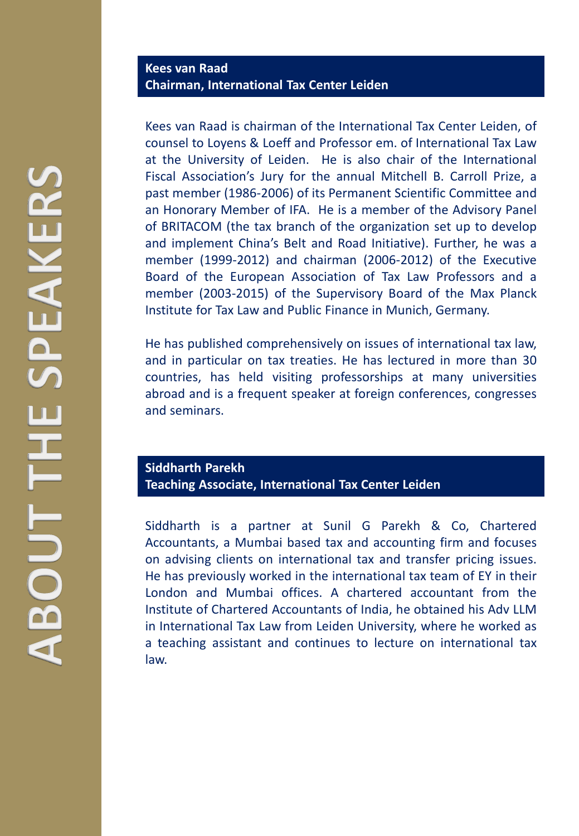Kees van Raad is chairman of the International Tax Center Leiden, of counsel to Loyens & Loeff and Professor em. of International Tax Law at the University of Leiden. He is also chair of the International Fiscal Association's Jury for the annual Mitchell B. Carroll Prize, a past member (1986-2006) of its Permanent Scientific Committee and an Honorary Member of IFA. He is a member of the Advisory Panel of BRITACOM (the tax branch of the organization set up to develop and implement China's Belt and Road Initiative). Further, he was a member (1999-2012) and chairman (2006-2012) of the Executive Board of the European Association of Tax Law Professors and a member (2003-2015) of the Supervisory Board of the Max Planck Institute for Tax Law and Public Finance in Munich, Germany.

He has published comprehensively on issues of international tax law, and in particular on tax treaties. He has lectured in more than 30 countries, has held visiting professorships at many universities abroad and is a frequent speaker at foreign conferences, congresses and seminars.

# **Siddharth Parekh Teaching Associate, International Tax Center Leiden**

Siddharth is a partner at Sunil G Parekh & Co, Chartered Accountants, a Mumbai based tax and accounting firm and focuses on advising clients on international tax and transfer pricing issues. He has previously worked in the international tax team of EY in their London and Mumbai offices. A chartered accountant from the Institute of Chartered Accountants of India, he obtained his Adv LLM in International Tax Law from Leiden University, where he worked as a teaching assistant and continues to lecture on international tax law.